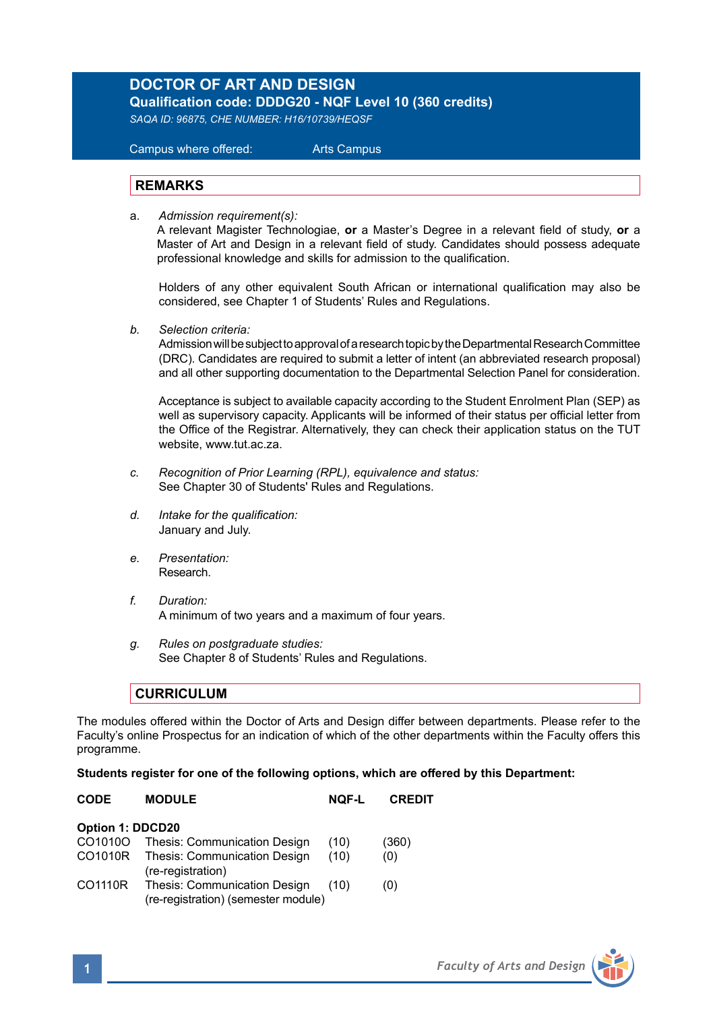## **DOCTOR OF ART AND DESIGN Qualification code: DDDG20 - NQF Level 10 (360 credits)**

*SAQA ID: 96875, CHE NUMBER: H16/10739/HEQSF*

# Campus where offered: Arts Campus

#### **REMARKS**

a. *Admission requirement(s):*

A relevant Magister Technologiae, **or** a Master's Degree in a relevant field of study, **or** a Master of Art and Design in a relevant field of study. Candidates should possess adequate professional knowledge and skills for admission to the qualification.

Holders of any other equivalent South African or international qualification may also be considered, see Chapter 1 of Students' Rules and Regulations.

*b. Selection criteria:*

Admission will be subject to approval of a research topic by the Departmental Research Committee (DRC). Candidates are required to submit a letter of intent (an abbreviated research proposal) and all other supporting documentation to the Departmental Selection Panel for consideration.

Acceptance is subject to available capacity according to the Student Enrolment Plan (SEP) as well as supervisory capacity. Applicants will be informed of their status per official letter from the Office of the Registrar. Alternatively, they can check their application status on the TUT website, www.tut.ac.za.

- *c. Recognition of Prior Learning (RPL), equivalence and status:* See Chapter 30 of Students' Rules and Regulations.
- *d. Intake for the qualification:* January and July.
- *e. Presentation:*  Research.
- *f. Duration:* A minimum of two years and a maximum of four years.
- *g. Rules on postgraduate studies:* See Chapter 8 of Students' Rules and Regulations.

#### **CURRICULUM**

The modules offered within the Doctor of Arts and Design differ between departments. Please refer to the Faculty's online Prospectus for an indication of which of the other departments within the Faculty offers this programme.

#### **Students register for one of the following options, which are offered by this Department:**

| <b>CODE</b>      | <b>MODULE</b>                                                              | <b>NOF-L</b> | <b>CREDIT</b> |
|------------------|----------------------------------------------------------------------------|--------------|---------------|
| Option 1: DDCD20 |                                                                            |              |               |
| CO1010O          | Thesis: Communication Design                                               | (10)         | (360)         |
| CO1010R          | Thesis: Communication Design<br>(re-registration)                          | (10)         | (0)           |
| CO1110R          | <b>Thesis: Communication Design</b><br>(re-registration) (semester module) | (10)         | (0)           |